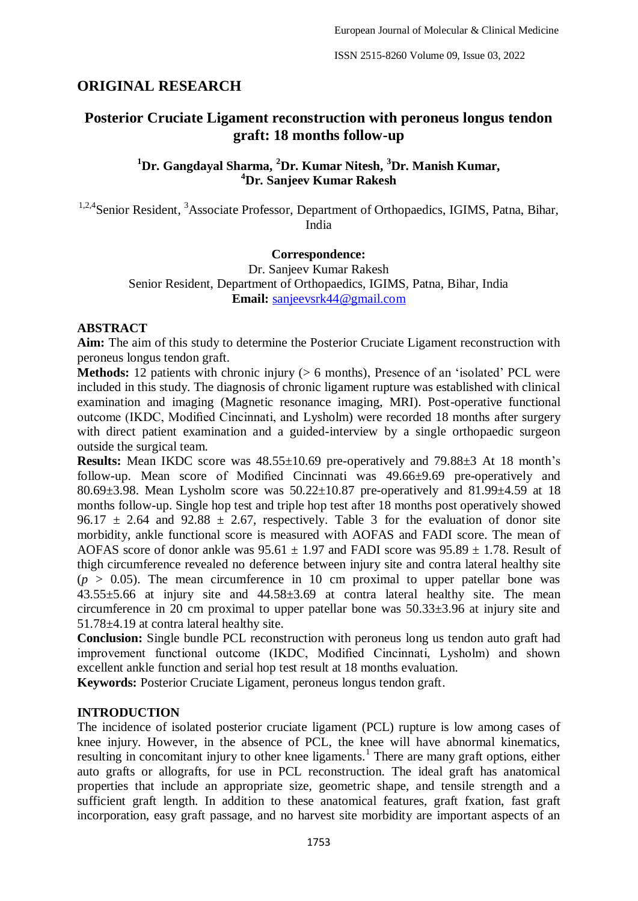# **ORIGINAL RESEARCH**

# **Posterior Cruciate Ligament reconstruction with peroneus longus tendon graft: 18 months follow-up**

## **<sup>1</sup>Dr. Gangdayal Sharma, <sup>2</sup>Dr. Kumar Nitesh, <sup>3</sup>Dr. Manish Kumar, <sup>4</sup>Dr. Sanjeev Kumar Rakesh**

<sup>1,2,4</sup>Senior Resident, <sup>3</sup>Associate Professor, Department of Orthopaedics, IGIMS, Patna, Bihar, India

#### **Correspondence:**

Dr. Sanjeev Kumar Rakesh Senior Resident, Department of Orthopaedics, IGIMS, Patna, Bihar, India **Email:** [sanjeevsrk44@gmail.com](mailto:sanjeevsrk44@gmail.com)

#### **ABSTRACT**

**Aim:** The aim of this study to determine the Posterior Cruciate Ligament reconstruction with peroneus longus tendon graft.

**Methods:** 12 patients with chronic injury ( $> 6$  months), Presence of an 'isolated' PCL were included in this study. The diagnosis of chronic ligament rupture was established with clinical examination and imaging (Magnetic resonance imaging, MRI). Post-operative functional outcome (IKDC, Modified Cincinnati, and Lysholm) were recorded 18 months after surgery with direct patient examination and a guided-interview by a single orthopaedic surgeon outside the surgical team.

**Results:** Mean IKDC score was 48.55±10.69 pre-operatively and 79.88±3 At 18 month's follow-up. Mean score of Modified Cincinnati was 49.66±9.69 pre-operatively and 80.69±3.98. Mean Lysholm score was 50.22±10.87 pre-operatively and 81.99±4.59 at 18 months follow-up. Single hop test and triple hop test after 18 months post operatively showed 96.17  $\pm$  2.64 and 92.88  $\pm$  2.67, respectively. Table 3 for the evaluation of donor site morbidity, ankle functional score is measured with AOFAS and FADI score. The mean of AOFAS score of donor ankle was  $95.61 \pm 1.97$  and FADI score was  $95.89 \pm 1.78$ . Result of thigh circumference revealed no deference between injury site and contra lateral healthy site  $(p > 0.05)$ . The mean circumference in 10 cm proximal to upper patellar bone was 43.55±5.66 at injury site and 44.58±3.69 at contra lateral healthy site. The mean circumference in 20 cm proximal to upper patellar bone was 50.33±3.96 at injury site and 51.78±4.19 at contra lateral healthy site.

**Conclusion:** Single bundle PCL reconstruction with peroneus long us tendon auto graft had improvement functional outcome (IKDC, Modified Cincinnati, Lysholm) and shown excellent ankle function and serial hop test result at 18 months evaluation.

**Keywords:** Posterior Cruciate Ligament, peroneus longus tendon graft.

#### **INTRODUCTION**

The incidence of isolated posterior cruciate ligament (PCL) rupture is low among cases of knee injury. However, in the absence of PCL, the knee will have abnormal kinematics, resulting in concomitant injury to other knee ligaments.<sup>1</sup> There are many graft options, either auto grafts or allografts, for use in PCL reconstruction. The ideal graft has anatomical properties that include an appropriate size, geometric shape, and tensile strength and a sufficient graft length. In addition to these anatomical features, graft fxation, fast graft incorporation, easy graft passage, and no harvest site morbidity are important aspects of an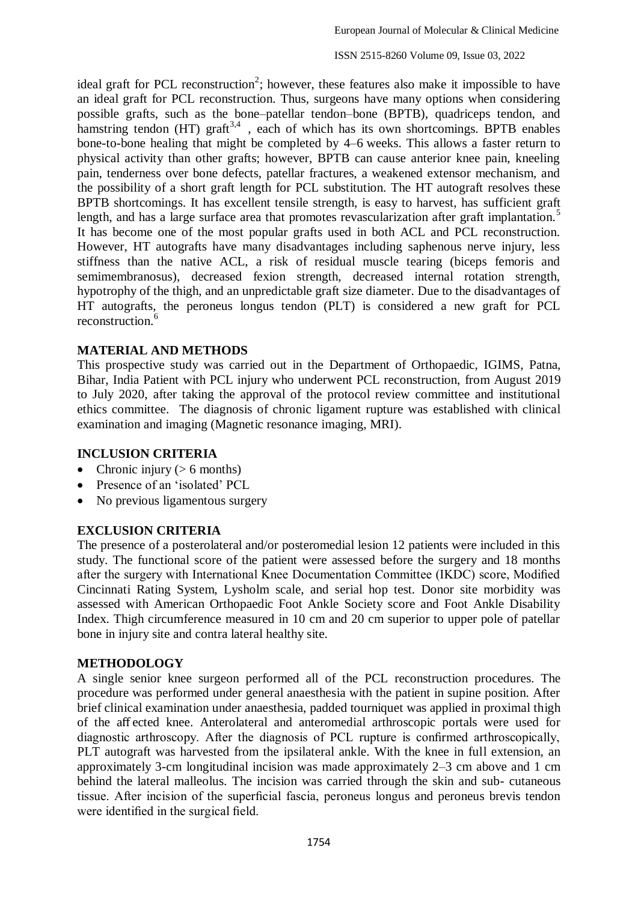ISSN 2515-8260 Volume 09, Issue 03, 2022

ideal graft for PCL reconstruction<sup>2</sup>; however, these features also make it impossible to have an ideal graft for PCL reconstruction. Thus, surgeons have many options when considering possible grafts, such as the bone–patellar tendon–bone (BPTB), quadriceps tendon, and hamstring tendon (HT) graft<sup>3,4</sup>, each of which has its own shortcomings. BPTB enables bone-to-bone healing that might be completed by 4–6 weeks. This allows a faster return to physical activity than other grafts; however, BPTB can cause anterior knee pain, kneeling pain, tenderness over bone defects, patellar fractures, a weakened extensor mechanism, and the possibility of a short graft length for PCL substitution. The HT autograft resolves these BPTB shortcomings. It has excellent tensile strength, is easy to harvest, has sufficient graft length, and has a large surface area that promotes revascularization after graft implantation.<sup>5</sup> It has become one of the most popular grafts used in both ACL and PCL reconstruction. However, HT autografts have many disadvantages including saphenous nerve injury, less stiffness than the native ACL, a risk of residual muscle tearing (biceps femoris and semimembranosus), decreased fexion strength, decreased internal rotation strength, hypotrophy of the thigh, and an unpredictable graft size diameter. Due to the disadvantages of HT autografts, the peroneus longus tendon (PLT) is considered a new graft for PCL reconstruction.<sup>6</sup>

## **MATERIAL AND METHODS**

This prospective study was carried out in the Department of Orthopaedic, IGIMS, Patna, Bihar, India Patient with PCL injury who underwent PCL reconstruction, from August 2019 to July 2020, after taking the approval of the protocol review committee and institutional ethics committee. The diagnosis of chronic ligament rupture was established with clinical examination and imaging (Magnetic resonance imaging, MRI).

### **INCLUSION CRITERIA**

- Chronic injury ( $> 6$  months)
- Presence of an 'isolated' PCL
- No previous ligamentous surgery

#### **EXCLUSION CRITERIA**

The presence of a posterolateral and/or posteromedial lesion 12 patients were included in this study. The functional score of the patient were assessed before the surgery and 18 months after the surgery with International Knee Documentation Committee (IKDC) score, Modified Cincinnati Rating System, Lysholm scale, and serial hop test. Donor site morbidity was assessed with American Orthopaedic Foot Ankle Society score and Foot Ankle Disability Index. Thigh circumference measured in 10 cm and 20 cm superior to upper pole of patellar bone in injury site and contra lateral healthy site.

#### <span id="page-1-0"></span>**METHODOLOGY**

A single senior knee surgeon performed all of the PCL reconstruction procedures. The procedure was performed under general anaesthesia with the patient in supine position. After brief clinical examination under anaesthesia, padded tourniquet was applied in proximal thigh of the aff ected knee. Anterolateral and anteromedial arthroscopic portals were used for diagnostic arthroscopy. After the diagnosis of PCL rupture is confirmed arthroscopically, PLT autograft was harvested from the ipsilateral ankle. With the knee in full extension, an approximately 3-cm longitudinal incision was made approximately 2–3 cm above and 1 cm behind the lateral malleolus. The incision was carried through the skin and sub- cutaneous tissue. After incision of the superficial fascia, peroneus longus and peroneus brevis tendon were identified in the surgical field.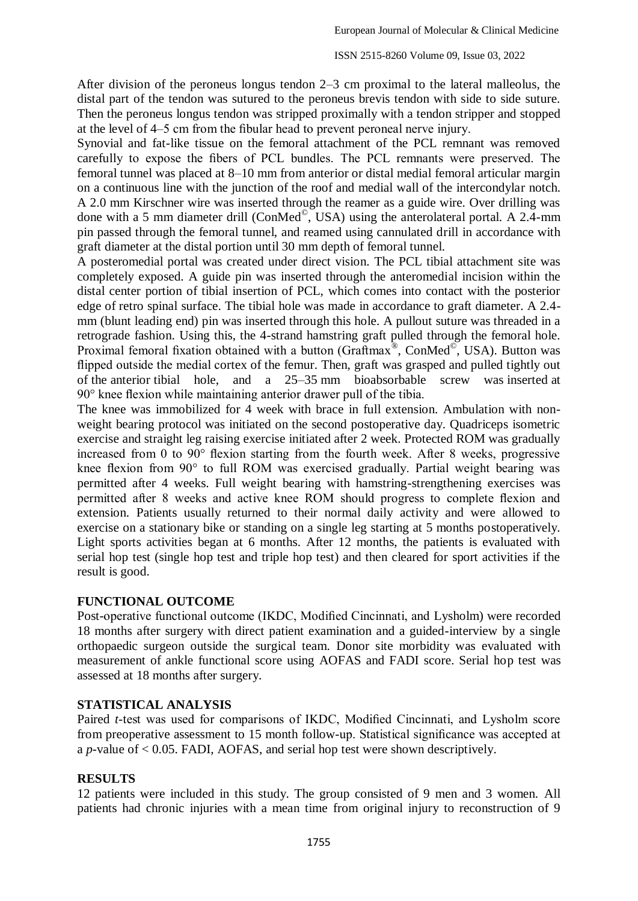After division of the peroneus longus tendon 2–3 cm proximal to the lateral malleolus, the distal part of the tendon was sutured to the peroneus brevis tendon with side to side suture. Then the peroneus longus tendon was stripped proximally with a tendon stripper and stopped at the level of 4–5 cm from the fibular head to prevent peroneal nerve injury.

Synovial and fat-like tissue on the femoral attachment of the PCL remnant was removed carefully to expose the fibers of PCL bundles. The PCL remnants were preserved. The femoral tunnel was placed at 8–10 mm from anterior or distal medial femoral articular margin on a continuous line with the junction of the roof and medial wall of the intercondylar notch. A 2.0 mm Kirschner wire was inserted through the reamer as a guide wire. Over drilling was done with a 5 mm diameter drill (ConMed<sup>®</sup>, USA) using the anterolateral portal. A 2.4-mm pin passed through the femoral tunnel, and reamed using cannulated drill in accordance with graft diameter at the distal portion until 30 mm depth of femoral tunnel.

A posteromedial portal was created under direct vision. The PCL tibial attachment site was completely exposed. A guide pin was inserted through the anteromedial incision within the distal center portion of tibial insertion of PCL, which comes into contact with the posterior edge of retro spinal surface. The tibial hole was made in accordance to graft diameter. A 2.4 mm (blunt leading end) pin was inserted through this hole. A pullout suture was threaded in a retrograde fashion. Using this, the 4-strand hamstring graft pulled through the femoral hole. Proximal femoral fixation obtained with a button (Graftmax<sup>®</sup>, ConMed<sup>®</sup>, USA). Button was flipped outside the medial cortex of the femur. Then, graft was grasped and pulled tightly out of the anterior tibial hole, and a 25–35 mm bioabsorbable screw was inserted at 90° knee flexion while maintaining anterior drawer pull of the tibia.

The knee was immobilized for 4 week with brace in full extension. Ambulation with nonweight bearing protocol was initiated on the second postoperative day. Quadriceps isometric exercise and straight leg raising exercise initiated after 2 week. Protected ROM was gradually increased from 0 to 90° flexion starting from the fourth week. After 8 weeks, progressive knee flexion from 90° to full ROM was exercised gradually. Partial weight bearing was permitted after 4 weeks. Full weight bearing with hamstring-strengthening exercises was permitted after 8 weeks and active knee ROM should progress to complete flexion and extension. Patients usually returned to their normal daily activity and were allowed to exercise on a stationary bike or standing on a single leg starting at 5 months postoperatively. Light sports activities began at 6 months. After 12 months, the patients is evaluated with serial hop test (single hop test and triple hop test) and then cleared for sport activities if the result is good.

#### **FUNCTIONAL OUTCOME**

Post-operative functional outcome (IKDC, Modified Cincinnati, and Lysholm) were recorded 18 months after surgery with direct patient examination and a guided-interview by a single orthopaedic surgeon outside the surgical team. Donor site morbidity was evaluated with measurement of ankle functional score using AOFAS and FADI score. Serial hop test was assessed at 18 months after surgery.

## **STATISTICAL ANALYSIS**

Paired *t*-test was used for comparisons of IKDC, Modified Cincinnati, and Lysholm score from preoperative assessment to 15 month follow-up. Statistical significance was accepted at a *p-*value of < 0.05. FADI, AOFAS, and serial hop test were shown descriptively.

#### **RESULTS**

12 patients were included in this study. The group consisted of 9 men and 3 women. All patients had chronic injuries with a mean time from original injury to reconstruction of 9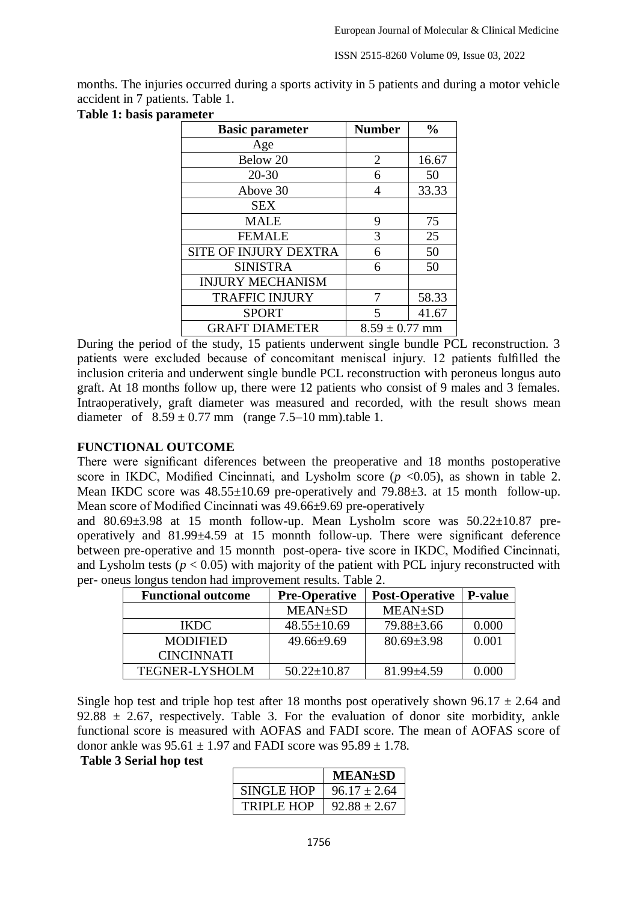ISSN 2515-8260 Volume 09, Issue 03, 2022

months. The injuries occurred during a sports activity in 5 patients and during a motor vehicle accident in 7 patients. [Table 1.](#page-1-0)

| <b>Basic parameter</b>       | <b>Number</b>      | $\frac{0}{0}$ |
|------------------------------|--------------------|---------------|
| Age                          |                    |               |
| Below 20                     | $\overline{2}$     | 16.67         |
| $20 - 30$                    | 6                  | 50            |
| Above 30                     | 4                  | 33.33         |
| <b>SEX</b>                   |                    |               |
| <b>MALE</b>                  | 9                  | 75            |
| <b>FEMALE</b>                | 3                  | 25            |
| <b>SITE OF INJURY DEXTRA</b> | 6                  | 50            |
| <b>SINISTRA</b>              | 6                  | 50            |
| <b>INJURY MECHANISM</b>      |                    |               |
| <b>TRAFFIC INJURY</b>        |                    | 58.33         |
| <b>SPORT</b>                 | 5                  | 41.67         |
| <b>GRAFT DIAMETER</b>        | $8.59 \pm 0.77$ mm |               |

During the period of the study, 15 patients underwent single bundle PCL reconstruction. 3 patients were excluded because of concomitant meniscal injury. 12 patients fulfilled the inclusion criteria and underwent single bundle PCL reconstruction with peroneus longus auto graft. At 18 months follow up, there were 12 patients who consist of 9 males and 3 females. Intraoperatively, graft diameter was measured and recorded, with the result shows mean diameter of  $8.59 \pm 0.77$  mm (range 7.5–10 mm).table 1.

#### **FUNCTIONAL OUTCOME**

There were significant diferences between the preoperative and 18 months postoperative score in IKDC, Modified Cincinnati, and Lysholm score  $(p \le 0.05)$ , as shown in table 2. Mean IKDC score was  $48.55\pm10.69$  pre-operatively and  $79.88\pm3$ . at 15 month follow-up. Mean score of Modified Cincinnati was 49.66±9.69 pre-operatively

and  $80.69\pm3.98$  at 15 month follow-up. Mean Lysholm score was  $50.22\pm10.87$  preoperatively and 81.99±4.59 at 15 monnth follow-up. There were significant deference between pre-operative and 15 monnth post-opera- tive score in IKDC, Modified Cincinnati, and Lysholm tests  $(p < 0.05)$  with majority of the patient with PCL injury reconstructed with per- oneus longus tendon had improvement results. Table 2.

| <b>Functional outcome</b> | <b>Pre-Operative</b> | <b>Post-Operative</b> | <b>P-value</b> |
|---------------------------|----------------------|-----------------------|----------------|
|                           | <b>MEAN±SD</b>       | <b>MEAN</b> ±SD       |                |
| <b>IKDC</b>               | $48.55 \pm 10.69$    | $79.88 \pm 3.66$      | 0.000          |
| <b>MODIFIED</b>           | $49.66 \pm 9.69$     | $80.69 \pm 3.98$      | 0.001          |
| <b>CINCINNATI</b>         |                      |                       |                |
| <b>TEGNER-LYSHOLM</b>     | $50.22 \pm 10.87$    | $81.99 \pm 4.59$      | 0.000          |

Single hop test and triple hop test after 18 months post operatively shown 96.17  $\pm$  2.64 and 92.88  $\pm$  2.67, respectively. Table 3. For the evaluation of donor site morbidity, ankle functional score is measured with AOFAS and FADI score. The mean of AOFAS score of donor ankle was  $95.61 \pm 1.97$  and FADI score was  $95.89 \pm 1.78$ .

#### **Table 3 Serial hop test**

|                   | <b>MEAN±SD</b>   |
|-------------------|------------------|
| SINGLE HOP        | $96.17 \pm 2.64$ |
| <b>TRIPLE HOP</b> | $92.88 \pm 2.67$ |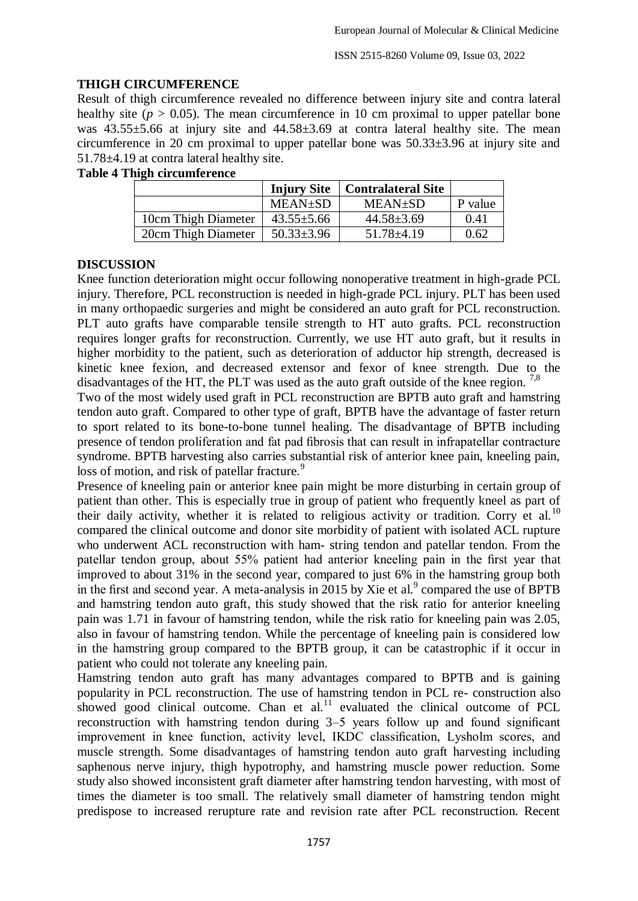## **THIGH CIRCUMFERENCE**

Result of thigh circumference revealed no difference between injury site and contra lateral healthy site ( $p > 0.05$ ). The mean circumference in 10 cm proximal to upper patellar bone was  $43.55\pm5.66$  at injury site and  $44.58\pm3.69$  at contra lateral healthy site. The mean circumference in 20 cm proximal to upper patellar bone was 50.33±3.96 at injury site and 51.78±4.19 at contra lateral healthy site.

#### **Table 4 Thigh circumference**

|                     | <b>Injury Site</b> | Contralateral Site |         |
|---------------------|--------------------|--------------------|---------|
|                     | <b>MEAN</b> ±SD    | <b>MEAN±SD</b>     | P value |
| 10cm Thigh Diameter | $43.55 \pm 5.66$   | $44.58 \pm 3.69$   | 0.41    |
| 20cm Thigh Diameter | $50.33 \pm 3.96$   | $51.78 \pm 4.19$   | 0.62    |

## **DISCUSSION**

Knee function deterioration might occur following nonoperative treatment in high-grade PCL injury. Therefore, PCL reconstruction is needed in high-grade PCL injury. PLT has been used in many orthopaedic surgeries and might be considered an auto graft for PCL reconstruction. PLT auto grafts have comparable tensile strength to HT auto grafts. PCL reconstruction requires longer grafts for reconstruction. Currently, we use HT auto graft, but it results in higher morbidity to the patient, such as deterioration of adductor hip strength, decreased is kinetic knee fexion, and decreased extensor and fexor of knee strength. Due to the disadvantages of the HT, the PLT was used as the auto graft outside of the knee region.<sup>7,8</sup>

Two of the most widely used graft in PCL reconstruction are BPTB auto graft and hamstring tendon auto graft. Compared to other type of graft, BPTB have the advantage of faster return to sport related to its bone-to-bone tunnel healing. The disadvantage of BPTB including presence of tendon proliferation and fat pad fibrosis that can result in infrapatellar contracture syndrome. BPTB harvesting also carries substantial risk of anterior knee pain, kneeling pain, loss of motion, and risk of patellar fracture.<sup>9</sup>

Presence of kneeling pain or anterior knee pain might be more disturbing in certain group of patient than other. This is especially true in group of patient who frequently kneel as part of their daily activity, whether it is related to religious activity or tradition. Corry et al.<sup>10</sup> compared the clinical outcome and donor site morbidity of patient with isolated ACL rupture who underwent ACL reconstruction with ham- string tendon and patellar tendon. From the patellar tendon group, about 55% patient had anterior kneeling pain in the first year that improved to about 31% in the second year, compared to just 6% in the hamstring group both in the first and second year. A meta-analysis in  $2015$  by Xie et al.<sup>9</sup> compared the use of BPTB and hamstring tendon auto graft, this study showed that the risk ratio for anterior kneeling pain was 1.71 in favour of hamstring tendon, while the risk ratio for kneeling pain was 2.05, also in favour of hamstring tendon. While the percentage of kneeling pain is considered low in the hamstring group compared to the BPTB group, it can be catastrophic if it occur in patient who could not tolerate any kneeling pain.

Hamstring tendon auto graft has many advantages compared to BPTB and is gaining popularity in PCL reconstruction. The use of hamstring tendon in PCL re- construction also showed good clinical outcome. Chan et al.<sup>11</sup> evaluated the clinical outcome of PCL reconstruction with hamstring tendon during 3–5 years follow up and found significant improvement in knee function, activity level, IKDC classification, Lysholm scores, and muscle strength. Some disadvantages of hamstring tendon auto graft harvesting including saphenous nerve injury, thigh hypotrophy, and hamstring muscle power reduction. Some study also showed inconsistent graft diameter after hamstring tendon harvesting, with most of times the diameter is too small. The relatively small diameter of hamstring tendon might predispose to increased rerupture rate and revision rate after PCL reconstruction. Recent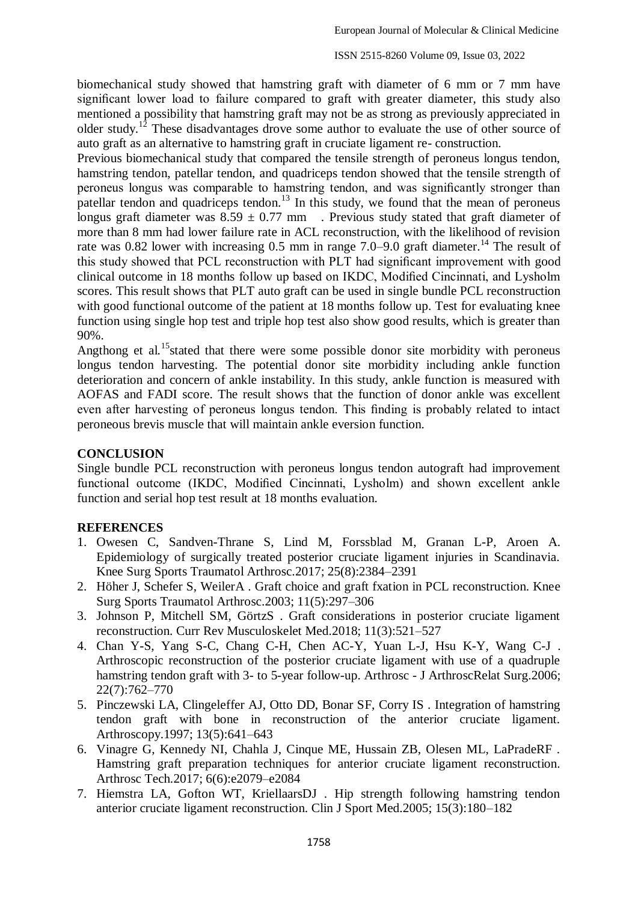biomechanical study showed that hamstring graft with diameter of 6 mm or 7 mm have significant lower load to failure compared to graft with greater diameter, this study also mentioned a possibility that hamstring graft may not be as strong as previously appreciated in older study.<sup>12</sup> These disadvantages drove some author to evaluate the use of other source of auto graft as an alternative to hamstring graft in cruciate ligament re- construction.

Previous biomechanical study that compared the tensile strength of peroneus longus tendon, hamstring tendon, patellar tendon, and quadriceps tendon showed that the tensile strength of peroneus longus was comparable to hamstring tendon, and was significantly stronger than patellar tendon and quadriceps tendon.<sup>13</sup> In this study, we found that the mean of peroneus longus graft diameter was  $8.59 \pm 0.77$  mm. Previous study stated that graft diameter of more than 8 mm had lower failure rate in ACL reconstruction, with the likelihood of revision rate was 0.82 lower with increasing 0.5 mm in range  $7.0-9.0$  graft diameter.<sup>14</sup> The result of this study showed that PCL reconstruction with PLT had significant improvement with good clinical outcome in 18 months follow up based on IKDC, Modified Cincinnati, and Lysholm scores. This result shows that PLT auto graft can be used in single bundle PCL reconstruction with good functional outcome of the patient at 18 months follow up. Test for evaluating knee function using single hop test and triple hop test also show good results, which is greater than 90%.

Angthong et al.<sup>15</sup>stated that there were some possible donor site morbidity with peroneus longus tendon harvesting. The potential donor site morbidity including ankle function deterioration and concern of ankle instability. In this study, ankle function is measured with AOFAS and FADI score. The result shows that the function of donor ankle was excellent even after harvesting of peroneus longus tendon. This finding is probably related to intact peroneous brevis muscle that will maintain ankle eversion function.

### **CONCLUSION**

Single bundle PCL reconstruction with peroneus longus tendon autograft had improvement functional outcome (IKDC, Modified Cincinnati, Lysholm) and shown excellent ankle function and serial hop test result at 18 months evaluation.

#### **REFERENCES**

- 1. Owesen C, Sandven-Thrane S, Lind M, Forssblad M, Granan L-P, Aroen A. Epidemiology of surgically treated posterior cruciate ligament injuries in Scandinavia. Knee Surg Sports Traumatol Arthrosc.2017; 25(8):2384–2391
- 2. Höher J, Schefer S, WeilerA . Graft choice and graft fxation in PCL reconstruction. Knee Surg Sports Traumatol Arthrosc.2003; 11(5):297–306
- 3. Johnson P, Mitchell SM, GörtzS . Graft considerations in posterior cruciate ligament reconstruction. Curr Rev Musculoskelet Med.2018; 11(3):521–527
- 4. Chan Y-S, Yang S-C, Chang C-H, Chen AC-Y, Yuan L-J, Hsu K-Y, Wang C-J . Arthroscopic reconstruction of the posterior cruciate ligament with use of a quadruple hamstring tendon graft with 3- to 5-year follow-up. Arthrosc - J ArthroscRelat Surg. 2006; 22(7):762–770
- 5. Pinczewski LA, Clingeleffer AJ, Otto DD, Bonar SF, Corry IS . Integration of hamstring tendon graft with bone in reconstruction of the anterior cruciate ligament. Arthroscopy.1997; 13(5):641–643
- 6. Vinagre G, Kennedy NI, Chahla J, Cinque ME, Hussain ZB, Olesen ML, LaPradeRF . Hamstring graft preparation techniques for anterior cruciate ligament reconstruction. Arthrosc Tech.2017; 6(6):e2079–e2084
- 7. Hiemstra LA, Gofton WT, KriellaarsDJ . Hip strength following hamstring tendon anterior cruciate ligament reconstruction. Clin J Sport Med.2005; 15(3):180–182